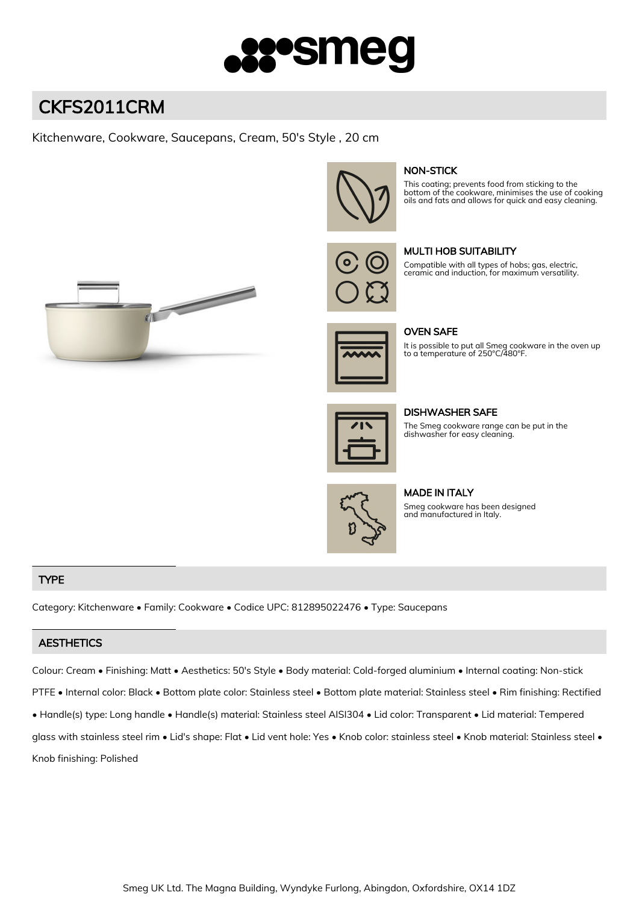

# CKFS2011CRM

# Kitchenware, Cookware, Saucepans, Cream, 50's Style , 20 cm



## NON-STICK

This coating; prevents food from sticking to the bottom of the cookware, minimises the use of cooking oils and fats and allows for quick and easy cleaning.



### MULTI HOB SUITABILITY

Compatible with all types of hobs; gas, electric, ceramic and induction, for maximum versatility.





OVEN SAFE

It is possible to put all Smeg cookware in the oven up to a temperature of 250°C/480°F.

DISHWASHER SAFE

The Smeg cookware range can be put in the dishwasher for easy cleaning.



# MADE IN ITALY

Smeg cookware has been designed and manufactured in Italy.

### TYPE

Category: Kitchenware • Family: Cookware • Codice UPC: 812895022476 • Type: Saucepans

### **AESTHETICS**

Colour: Cream • Finishing: Matt • Aesthetics: 50's Style • Body material: Cold-forged aluminium • Internal coating: Non-stick

PTFE • Internal color: Black • Bottom plate color: Stainless steel • Bottom plate material: Stainless steel • Rim finishing: Rectified

• Handle(s) type: Long handle • Handle(s) material: Stainless steel AISI304 • Lid color: Transparent • Lid material: Tempered

glass with stainless steel rim • Lid's shape: Flat • Lid vent hole: Yes • Knob color: stainless steel • Knob material: Stainless steel • Knob finishing: Polished